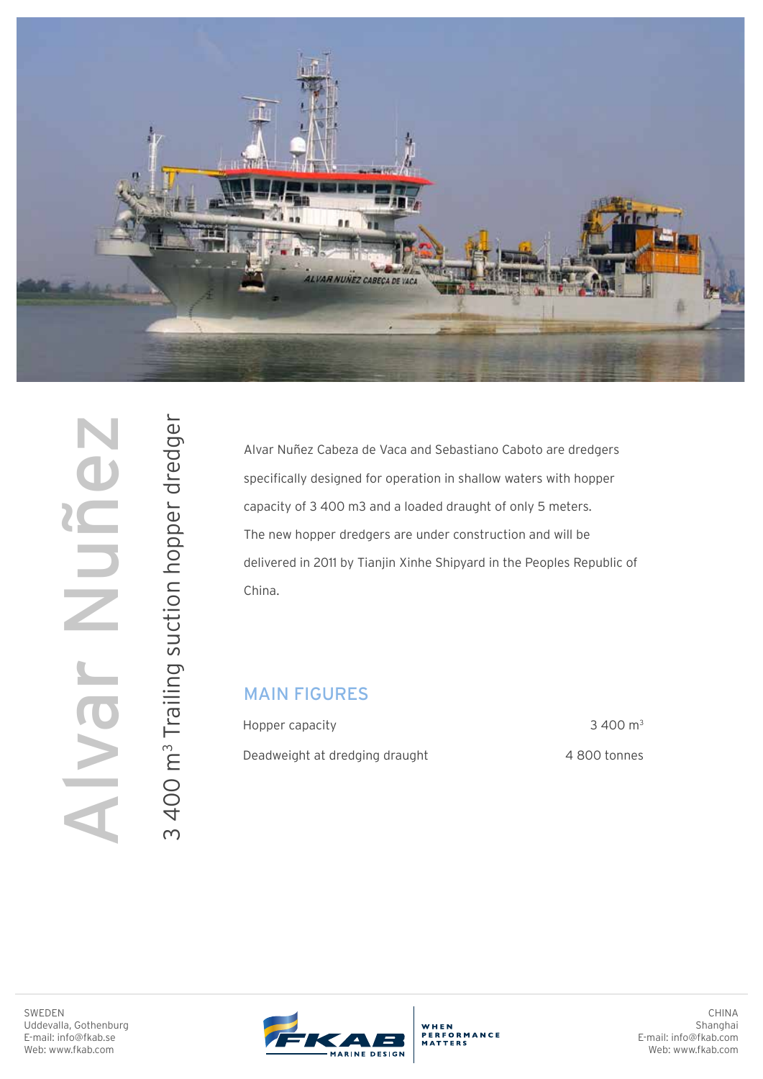

SWEDEN<br>
WEB: WEB: MONTHER Uddevalla, Gothenburg<br>
E-mail: info@fkab.se<br>
Web: www.fkab.com Muh Jevl 3 400 m<sup>3</sup> Trailing suction hopper dredger

3 Trailing suction hopper dredger

Alvar Nuñez Cabeza de Vaca and Sebastiano Caboto are dredgers specifically designed for operation in shallow waters with hopper capacity of 3 400 m3 and a loaded draught of only 5 meters. The new hopper dredgers are under construction and will be delivered in 2011 by Tianjin Xinhe Shipyard in the Peoples Republic of China.

## MAIN FIGURES

Hopper capacity Deadweight at dredging draught

3 400 m<sup>3</sup> 4 800 tonnes